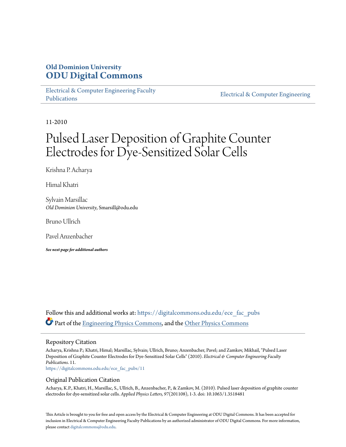## **Old Dominion University [ODU Digital Commons](https://digitalcommons.odu.edu?utm_source=digitalcommons.odu.edu%2Fece_fac_pubs%2F11&utm_medium=PDF&utm_campaign=PDFCoverPages)**

[Electrical & Computer Engineering Faculty](https://digitalcommons.odu.edu/ece_fac_pubs?utm_source=digitalcommons.odu.edu%2Fece_fac_pubs%2F11&utm_medium=PDF&utm_campaign=PDFCoverPages) [Publications](https://digitalcommons.odu.edu/ece_fac_pubs?utm_source=digitalcommons.odu.edu%2Fece_fac_pubs%2F11&utm_medium=PDF&utm_campaign=PDFCoverPages)

[Electrical & Computer Engineering](https://digitalcommons.odu.edu/ece?utm_source=digitalcommons.odu.edu%2Fece_fac_pubs%2F11&utm_medium=PDF&utm_campaign=PDFCoverPages)

11-2010

# Pulsed Laser Deposition of Graphite Counter Electrodes for Dye-Sensitized Solar Cells

Krishna P. Acharya

Himal Khatri

Sylvain Marsillac *Old Dominion University*, Smarsill@odu.edu

Bruno Ullrich

Pavel Anzenbacher

*See next page for additional authors*

Follow this and additional works at: [https://digitalcommons.odu.edu/ece\\_fac\\_pubs](https://digitalcommons.odu.edu/ece_fac_pubs?utm_source=digitalcommons.odu.edu%2Fece_fac_pubs%2F11&utm_medium=PDF&utm_campaign=PDFCoverPages) Part of the [Engineering Physics Commons](http://network.bepress.com/hgg/discipline/200?utm_source=digitalcommons.odu.edu%2Fece_fac_pubs%2F11&utm_medium=PDF&utm_campaign=PDFCoverPages), and the [Other Physics Commons](http://network.bepress.com/hgg/discipline/207?utm_source=digitalcommons.odu.edu%2Fece_fac_pubs%2F11&utm_medium=PDF&utm_campaign=PDFCoverPages)

#### Repository Citation

Acharya, Krishna P.; Khatri, Himal; Marsillac, Sylvain; Ullrich, Bruno; Anzenbacher, Pavel; and Zamkov, Mikhail, "Pulsed Laser Deposition of Graphite Counter Electrodes for Dye-Sensitized Solar Cells" (2010). *Electrical & Computer Engineering Faculty Publications*. 11.

[https://digitalcommons.odu.edu/ece\\_fac\\_pubs/11](https://digitalcommons.odu.edu/ece_fac_pubs/11?utm_source=digitalcommons.odu.edu%2Fece_fac_pubs%2F11&utm_medium=PDF&utm_campaign=PDFCoverPages)

#### Original Publication Citation

Acharya, K.P., Khatri, H., Marsillac, S., Ullrich, B., Anzenbacher, P., & Zamkov, M. (2010). Pulsed laser deposition of graphite counter electrodes for dye-sensitized solar cells. *Applied Physics Letters, 97*(201108), 1-3. doi: 10.1063/1.3518481

This Article is brought to you for free and open access by the Electrical & Computer Engineering at ODU Digital Commons. It has been accepted for inclusion in Electrical & Computer Engineering Faculty Publications by an authorized administrator of ODU Digital Commons. For more information, please contact [digitalcommons@odu.edu](mailto:digitalcommons@odu.edu).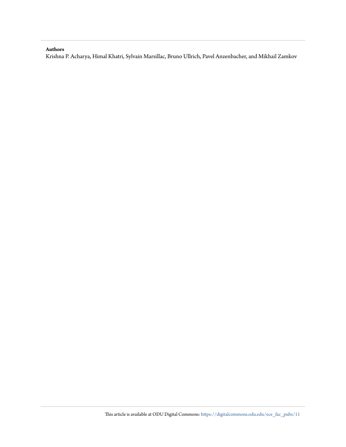#### **Authors**

Krishna P. Acharya, Himal Khatri, Sylvain Marsillac, Bruno Ullrich, Pavel Anzenbacher, and Mikhail Zamkov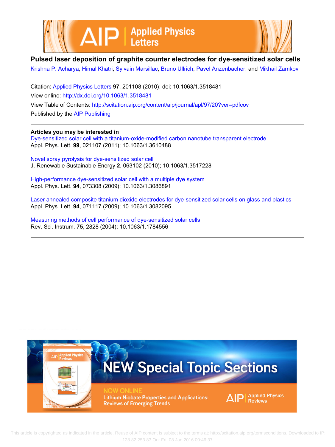



### **Pulsed laser deposition of graphite counter electrodes for dye-sensitized solar cells**

[Krishna P. Acharya,](http://scitation.aip.org/search?value1=Krishna+P.+Acharya&option1=author) [Himal Khatri,](http://scitation.aip.org/search?value1=Himal+Khatri&option1=author) [Sylvain Marsillac,](http://scitation.aip.org/search?value1=Sylvain+Marsillac&option1=author) [Bruno Ullrich,](http://scitation.aip.org/search?value1=Bruno+Ullrich&option1=author) [Pavel Anzenbacher,](http://scitation.aip.org/search?value1=Pavel+Anzenbacher&option1=author) and [Mikhail Zamkov](http://scitation.aip.org/search?value1=Mikhail+Zamkov&option1=author)

Citation: [Applied Physics Letters](http://scitation.aip.org/content/aip/journal/apl?ver=pdfcov) **97**, 201108 (2010); doi: 10.1063/1.3518481 View online: <http://dx.doi.org/10.1063/1.3518481> View Table of Contents:<http://scitation.aip.org/content/aip/journal/apl/97/20?ver=pdfcov> Published by the [AIP Publishing](http://scitation.aip.org/content/aip?ver=pdfcov)

#### **Articles you may be interested in**

[Dye-sensitized solar cell with a titanium-oxide-modified carbon nanotube transparent electrode](http://scitation.aip.org/content/aip/journal/apl/99/2/10.1063/1.3610488?ver=pdfcov) Appl. Phys. Lett. **99**, 021107 (2011); 10.1063/1.3610488

[Novel spray pyrolysis for dye-sensitized solar cell](http://scitation.aip.org/content/aip/journal/jrse/2/6/10.1063/1.3517228?ver=pdfcov) J. Renewable Sustainable Energy **2**, 063102 (2010); 10.1063/1.3517228

[High-performance dye-sensitized solar cell with a multiple dye system](http://scitation.aip.org/content/aip/journal/apl/94/7/10.1063/1.3086891?ver=pdfcov) Appl. Phys. Lett. **94**, 073308 (2009); 10.1063/1.3086891

[Laser annealed composite titanium dioxide electrodes for dye-sensitized solar cells on glass and plastics](http://scitation.aip.org/content/aip/journal/apl/94/7/10.1063/1.3082095?ver=pdfcov) Appl. Phys. Lett. **94**, 071117 (2009); 10.1063/1.3082095

[Measuring methods of cell performance of dye-sensitized solar cells](http://scitation.aip.org/content/aip/journal/rsi/75/9/10.1063/1.1784556?ver=pdfcov) Rev. Sci. Instrum. **75**, 2828 (2004); 10.1063/1.1784556



 This article is copyrighted as indicated in the article. Reuse of AIP content is subject to the terms at: http://scitation.aip.org/termsconditions. Downloaded to IP: 128.82.253.83 On: Fri, 08 Jan 2016 00:46:37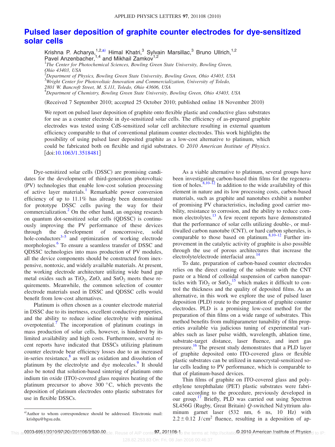## **[Pulsed laser deposition of graphite counter electrodes for dye-sensitized](http://dx.doi.org/10.1063/1.3518481) [solar cells](http://dx.doi.org/10.1063/1.3518481)**

Krishna P. Acharya,<sup>1,2[,a](#page-3-0))</sup> Himal Khatri,<sup>3</sup> Sylvain Marsillac,<sup>3</sup> Bruno Ullrich,<sup>1,2</sup> Pavel Anzenbacher,<sup>1,4</sup> and Mikhail Zamkov<sup>1,2</sup><br><sup>1</sup>The Center for Photochemical Sciences, Bowling Green State University, Bowling Green,

*Ohio 43403, USA*

2 *Department of Physics, Bowling Green State University, Bowling Green, Ohio 43403, USA* 3 *Wright Center for Photovoltaic Innovation and Commercialization, University of Toledo,*

*2801 W. Bancroft Street, M. S.111, Toledo, Ohio 43606, USA*

4 *Department of Chemistry, Bowling Green State University, Bowling Green, Ohio 43403, USA*

(Received 7 September 2010; accepted 25 October 2010; published online 18 November 2010)

We report on pulsed laser deposition of graphite onto flexible plastic and conductive glass substrates for use as a counter electrode in dye-sensitized solar cells. The efficiency of as-prepared graphite electrodes was tested using CdS-sensitized solar cell architecture resulting in external quantum efficiency comparable to that of conventional platinum counter electrodes. This work highlights the possibility of using pulsed laser deposited graphite as a low-cost alternative to platinum, which could be fabricated both on flexible and rigid substrates. © *2010 American Institute of Physics*. [doi[:10.1063/1.3518481](http://dx.doi.org/10.1063/1.3518481)]

Dye-sensitized solar cells (DSSC) are promising candidates for the development of third-generation photovoltaic (PV) technologies that enable low-cost solution processing of active layer materials.<sup>1</sup> Remarkable power conversion efficiency of up to 11.1% has already been demonstrated for prototype DSSC cells paving the way for their commercialization.<sup>2</sup> On the other hand, an ongoing research on quantum dot-sensitized solar cells (QDSSC) is continuously improving the PV performance of these devices through the development of noncorrosive, solid hole-conductors $3-5$  $3-5$  and optimization of working electrode morphologies.<sup>6</sup> To ensure a seamless transfer of DSSC and QDSSC technologies into mass production of PV modules, all the device components should be constructed from inexpensive, nontoxic, and widely available materials. At present, the working electrode architecture utilizing wide band gap metal oxides such as  $TiO<sub>2</sub>$ , ZnO, and SnO<sub>2</sub> meets these requirements. Meanwhile, the common selection of counter electrode materials used in DSSC and QDSSC cells would benefit from low-cost alternatives.

Platinum is often chosen as a counter electrode material in DSSC due to its inertness, excellent conductive properties, and the ability to reduce iodine electrolyte with minimal overpotential.<sup>7</sup> The incorporation of platinum coatings in mass production of solar cells, however, is hindered by its limited availability and high costs. Furthermore, several recent reports have indicated that DSSCs utilizing platinum counter electrode bear efficiency losses due to an increased in-series resistance, $8$  as well as oxidation and dissolution of platinum by the electrolyte and dye molecules.<sup>9</sup> It should also be noted that solution-based sintering of platinum onto indium tin oxide (ITO)-covered glass requires heating of the platinum precursor to above 300 °C, which prevents the deposition of platinum electrodes onto plastic substrates for use in flexible DSSCs.

As a viable alternative to platinum, several groups have been investigating carbon-based thin films for the regenera-tion of holes.<sup>8[,10](#page-5-8)[–12](#page-5-9)</sup> In addition to the wide availability of this element in nature and its low processing costs, carbon-based materials, such as graphite and nanotubes exhibit a number of promising PV characteristics, including good carrier mobility, resistance to corrosion, and the ability to reduce common electrolytes.<sup>13</sup> A few recent reports have demonstrated that the performance of solar cells utilizing double-, or multiwalled carbon nanotube (CNT), or hard carbon spherules, is comparable to those based on platinum. $8,10-12$  $8,10-12$  $8,10-12$  Further improvement in the catalytic activity of graphite is also possible through the use of porous architectures that increase the electrolyte/electrode interfacial area.<sup>14</sup>

To date, preparation of carbon-based counter electrodes relies on the direct coating of the substrate with the CNT paste or a blend of colloidal suspension of carbon nanoparticles with  $TiO_2$  or  $SnO_2$ ,<sup>[15](#page-5-12)</sup> which makes it difficult to control the thickness and the quality of deposited films. As an alternative, in this work we explore the use of pulsed laser deposition (PLD) route to the preparation of graphite counter electrodes. PLD is a promising low-cost method for the preparation of thin films on a wide range of substrates. This method benefits from multiparameter tunability of film properties available via judicious tuning of experimental variables such as laser pulse width, wavelength, ablation time, substrate-target distance, laser fluence, and inert gas pressure.<sup>[16](#page-5-13)</sup> The present study demonstrates that a PLD layer of graphite deposited onto ITO-covered glass or flexible plastic substrates can be utilized in nanocrystal-sensitized solar cells leading to PV performance, which is comparable to that of platinum-based devices.

Thin films of graphite on ITO-covered glass and polyethylene terephthalate (PET) plastic substrates were fabricated according to the procedure, previously developed in our group.<sup>[17](#page-5-14)</sup> Briefly, PLD was carried out using Spectron SL456G (Rugby, Great Britain) Q-switched Nd:yttrium aluminum garnet laser (532 nm, 6 ns, 10 Hz) with  $2.2 \pm 0.12$  J/cm<sup>2</sup> fluence, resulting in a deposition of ap-

<span id="page-3-0"></span>a)Author to whom correspondence should be addressed. Electronic mail: krishpa@bgsu.edu.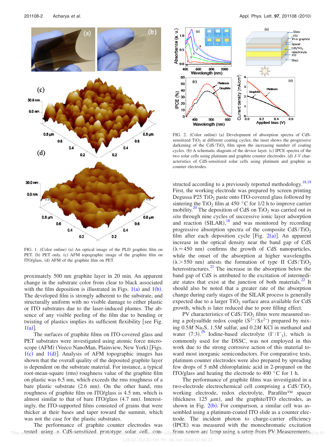<span id="page-4-0"></span>

FIG. 1. (Color online) (a) An optical image of the PLD graphite film on PET. (b) PET only. (c) AFM topographic image of the graphite film on ITO/glass. (d) AFM of the graphite film on PET.

proximately 500 nm graphite layer in 20 min. An apparent change in the substrate color from clear to black associated with the film deposition is illustrated in Figs.  $1(a)$  $1(a)$  and  $1(b)$ . The developed film is strongly adherent to the substrate, and structurally uniform with no visible damage to either plastic or ITO substrates due to the laser-induced plumes. The absence of any visible peeling of the film due to bending or twisting of plastics implies its sufficient flexibility [see Fig.  $1(a)$  $1(a)$ ].

The surfaces of graphite films on ITO-covered glass and PET substrates were investigated using atomic force microscope (AFM) (Veeco NanoMan, Plainview, New York) [Figs.  $1(c)$  $1(c)$  and  $1(d)$ ]. Analysis of AFM topographic images has shown that the overall quality of the deposited graphite layer is dependent on the substrate material. For instance, a typical root-mean-square (rms) roughness value of the graphite film on plastic was 6.5 nm, which exceeds the rms roughness of a bare plastic substrate (2.6 nm). On the other hand, rms roughness of graphite film on ITO/glass is 4.5 nm, which is almost similar to that of bare ITO/glass (4.7 nm). Interestingly, the ITO-supported films consisted of grains that were thicker at their bases and taper toward the summit, which was not the case for the plastic substrates.

The performance of graphite counter electrodes was This artested cusing hidd CdS csensitized e prototype solan reell noons subjection renon are lamp using a setup from PM Measurements d to IP:

<span id="page-4-1"></span>

FIG. 2. (Color online) (a) Development of absorption spectra of CdSsensitized  $TiO<sub>2</sub>$  at different coating cycles; the inset shows the progressive darkening of the  $CdS/TiO<sub>2</sub>$  film upon the increasing number of coating cycles. (b) A schematic diagram of the device layer. (c) IPCE spectra of the two solar cells using platinum and graphite counter electrodes. (d)  $J$ -V characteristics of CdS-sensitized solar cells using platinum and graphite as counter electrodes.

structed according to a previously reported methodology.<sup>18,[19](#page-5-16)</sup> First, the working electrode was prepared by screen printing Degussa P25  $TiO<sub>2</sub>$  paste onto ITO-covered glass followed by sintering the TiO<sub>2</sub> film at 450  $\degree$ C for 1/2 h to improve carrier mobility.<sup>20</sup> The deposition of CdS on TiO<sub>2</sub> was carried out *in situ* through nine cycles of successive ionic layer adsorption and reaction  $(SILAR)$ ,<sup>[18](#page-5-15)</sup> and was monitored by recording progressive absorption spectra of the composite  $CdS/TiO<sub>2</sub>$ film after each deposition cycle [Fig.  $2(a)$  $2(a)$ ]. An apparent increase in the optical density near the band gap of CdS  $(\lambda \approx 450 \text{ nm})$  confirms the growth of CdS nanoparticles, while the onset of the absorption at higher wavelengths  $(\lambda > 550 \text{ nm})$  attests the formation of type II CdS/TiO<sub>2</sub> heterostructures.<sup>21</sup> The increase in the absorption below the band gap of CdS is attributed to the excitation of intermediate states that exist at the junction of both materials. $^{22}$  It should also be noted that a greater rate of the absorption change during early stages of the SILAR process is generally expected due to a larger  $TiO<sub>2</sub>$  surface area available for CdS growth, which is later reduced due to pore filling effect.

PV characteristics of  $CdS/TiO<sub>2</sub>$  films were measured using a polysulfide redox couple  $(S^2$ <sup>-</sup>/S $x^2$ <sup>-</sup>) prepared by mixing 0.5*M* Na<sub>2</sub>S, 1.5*M* sulfur, and 0.2*M* KCl in methanol and water  $(7:3)$ .<sup>[19](#page-5-16)</sup> Iodine-based electrolyte  $(I^-/I^-_3)$ , which is commonly used for the DSSC, was not employed in this work due to the strong corrosive action of this material toward most inorganic semiconductors. For comparative tests, platinum counter electrodes were also prepared by spreading few drops of 5 mM chloroplatinic acid in 2-propanol on the ITO/glass and heating the electrode to 400 °C for 1 h.

The performance of graphite films was investigated in a two-electrode electrochemical cell comprising a  $CdS/TiO<sub>2</sub>$ working electrode, redox electrolyte, Parafilm™ spacer (thickness 125  $\mu$ m), and the graphite/ITO electrodes, as shown in Fig.  $2(b)$  $2(b)$ . For comparison, a similar cell was assembled using a platinum-coated ITO slide as a counter electrode. The incident photon to charge-carrier efficiency (IPCE) was measured with the monochromatic excitation